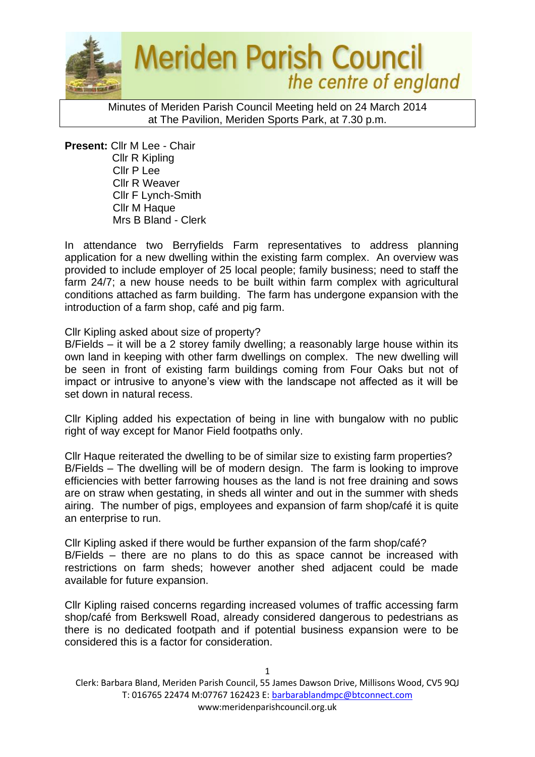

Minutes of Meriden Parish Council Meeting held on 24 March 2014 at The Pavilion, Meriden Sports Park, at 7.30 p.m.

**Present:** Cllr M Lee - Chair Cllr R Kipling Cllr P Lee Cllr R Weaver Cllr F Lynch-Smith Cllr M Haque Mrs B Bland - Clerk

In attendance two Berryfields Farm representatives to address planning application for a new dwelling within the existing farm complex. An overview was provided to include employer of 25 local people; family business; need to staff the farm 24/7; a new house needs to be built within farm complex with agricultural conditions attached as farm building. The farm has undergone expansion with the introduction of a farm shop, café and pig farm.

#### Cllr Kipling asked about size of property?

B/Fields – it will be a 2 storey family dwelling; a reasonably large house within its own land in keeping with other farm dwellings on complex. The new dwelling will be seen in front of existing farm buildings coming from Four Oaks but not of impact or intrusive to anyone's view with the landscape not affected as it will be set down in natural recess.

Cllr Kipling added his expectation of being in line with bungalow with no public right of way except for Manor Field footpaths only.

Cllr Haque reiterated the dwelling to be of similar size to existing farm properties? B/Fields – The dwelling will be of modern design. The farm is looking to improve efficiencies with better farrowing houses as the land is not free draining and sows are on straw when gestating, in sheds all winter and out in the summer with sheds airing. The number of pigs, employees and expansion of farm shop/café it is quite an enterprise to run.

Cllr Kipling asked if there would be further expansion of the farm shop/café? B/Fields – there are no plans to do this as space cannot be increased with restrictions on farm sheds; however another shed adjacent could be made available for future expansion.

Cllr Kipling raised concerns regarding increased volumes of traffic accessing farm shop/café from Berkswell Road, already considered dangerous to pedestrians as there is no dedicated footpath and if potential business expansion were to be considered this is a factor for consideration.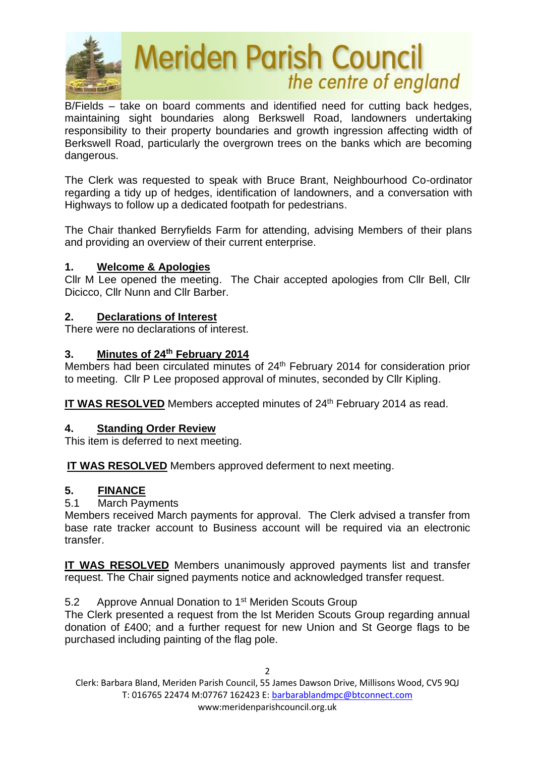

B/Fields – take on board comments and identified need for cutting back hedges, maintaining sight boundaries along Berkswell Road, landowners undertaking responsibility to their property boundaries and growth ingression affecting width of Berkswell Road, particularly the overgrown trees on the banks which are becoming dangerous.

The Clerk was requested to speak with Bruce Brant, Neighbourhood Co-ordinator regarding a tidy up of hedges, identification of landowners, and a conversation with Highways to follow up a dedicated footpath for pedestrians.

The Chair thanked Berryfields Farm for attending, advising Members of their plans and providing an overview of their current enterprise.

## **1. Welcome & Apologies**

Cllr M Lee opened the meeting. The Chair accepted apologies from Cllr Bell, Cllr Dicicco, Cllr Nunn and Cllr Barber.

## **2. Declarations of Interest**

There were no declarations of interest.

## **3. Minutes of 24 th February 2014**

Members had been circulated minutes of 24<sup>th</sup> February 2014 for consideration prior to meeting. Cllr P Lee proposed approval of minutes, seconded by Cllr Kipling.

IT WAS RESOLVED Members accepted minutes of 24<sup>th</sup> February 2014 as read.

## **4. Standing Order Review**

This item is deferred to next meeting.

**IT WAS RESOLVED** Members approved deferment to next meeting.

## **5. FINANCE**

5.1 March Payments

Members received March payments for approval. The Clerk advised a transfer from base rate tracker account to Business account will be required via an electronic transfer.

**IT WAS RESOLVED** Members unanimously approved payments list and transfer request. The Chair signed payments notice and acknowledged transfer request.

## 5.2 Approve Annual Donation to 1<sup>st</sup> Meriden Scouts Group

The Clerk presented a request from the lst Meriden Scouts Group regarding annual donation of £400; and a further request for new Union and St George flags to be purchased including painting of the flag pole.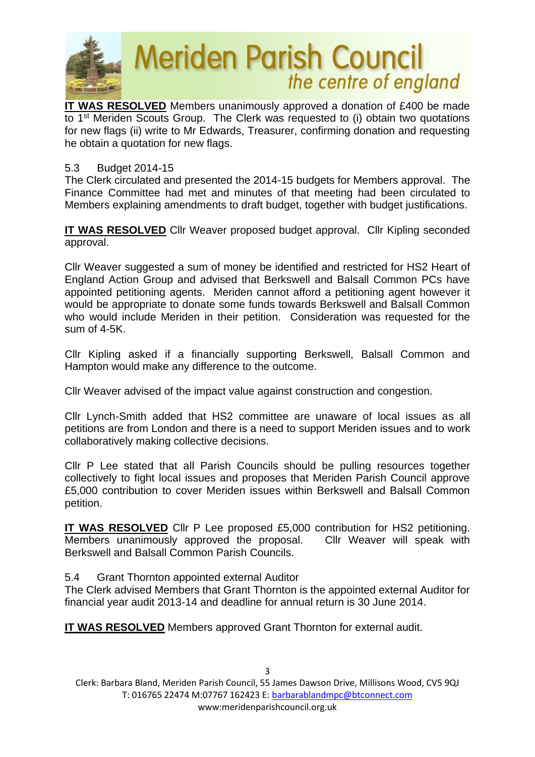

**IT WAS RESOLVED** Members unanimously approved a donation of £400 be made to 1st Meriden Scouts Group. The Clerk was requested to (i) obtain two quotations for new flags (ii) write to Mr Edwards, Treasurer, confirming donation and requesting he obtain a quotation for new flags.

#### 5.3 Budget 2014-15

The Clerk circulated and presented the 2014-15 budgets for Members approval. The Finance Committee had met and minutes of that meeting had been circulated to Members explaining amendments to draft budget, together with budget justifications.

**IT WAS RESOLVED** Cllr Weaver proposed budget approval. Cllr Kipling seconded approval.

Cllr Weaver suggested a sum of money be identified and restricted for HS2 Heart of England Action Group and advised that Berkswell and Balsall Common PCs have appointed petitioning agents. Meriden cannot afford a petitioning agent however it would be appropriate to donate some funds towards Berkswell and Balsall Common who would include Meriden in their petition. Consideration was requested for the sum of 4-5K.

Cllr Kipling asked if a financially supporting Berkswell, Balsall Common and Hampton would make any difference to the outcome.

Cllr Weaver advised of the impact value against construction and congestion.

Cllr Lynch-Smith added that HS2 committee are unaware of local issues as all petitions are from London and there is a need to support Meriden issues and to work collaboratively making collective decisions.

Cllr P Lee stated that all Parish Councils should be pulling resources together collectively to fight local issues and proposes that Meriden Parish Council approve £5,000 contribution to cover Meriden issues within Berkswell and Balsall Common petition.

**IT WAS RESOLVED** Cllr P Lee proposed £5,000 contribution for HS2 petitioning. Members unanimously approved the proposal. Cllr Weaver will speak with Berkswell and Balsall Common Parish Councils.

5.4 Grant Thornton appointed external Auditor

The Clerk advised Members that Grant Thornton is the appointed external Auditor for financial year audit 2013-14 and deadline for annual return is 30 June 2014.

**IT WAS RESOLVED** Members approved Grant Thornton for external audit.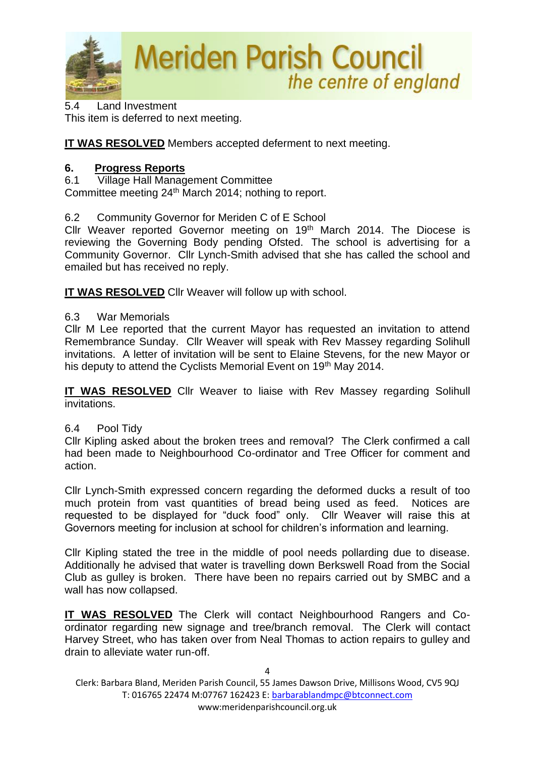

5.4 Land Investment This item is deferred to next meeting.

**IT WAS RESOLVED** Members accepted deferment to next meeting.

## **6. Progress Reports**

6.1 Village Hall Management Committee Committee meeting 24<sup>th</sup> March 2014; nothing to report.

6.2 Community Governor for Meriden C of E School

Cllr Weaver reported Governor meeting on 19<sup>th</sup> March 2014. The Diocese is reviewing the Governing Body pending Ofsted. The school is advertising for a Community Governor. Cllr Lynch-Smith advised that she has called the school and emailed but has received no reply.

**IT WAS RESOLVED** Cllr Weaver will follow up with school.

## 6.3 War Memorials

Cllr M Lee reported that the current Mayor has requested an invitation to attend Remembrance Sunday. Cllr Weaver will speak with Rev Massey regarding Solihull invitations. A letter of invitation will be sent to Elaine Stevens, for the new Mayor or his deputy to attend the Cyclists Memorial Event on 19<sup>th</sup> May 2014.

**IT WAS RESOLVED** Cllr Weaver to liaise with Rev Massey regarding Solihull invitations.

## 6.4 Pool Tidy

Cllr Kipling asked about the broken trees and removal? The Clerk confirmed a call had been made to Neighbourhood Co-ordinator and Tree Officer for comment and action.

Cllr Lynch-Smith expressed concern regarding the deformed ducks a result of too much protein from vast quantities of bread being used as feed. Notices are requested to be displayed for "duck food" only. Cllr Weaver will raise this at Governors meeting for inclusion at school for children's information and learning.

Cllr Kipling stated the tree in the middle of pool needs pollarding due to disease. Additionally he advised that water is travelling down Berkswell Road from the Social Club as gulley is broken. There have been no repairs carried out by SMBC and a wall has now collapsed.

**IT WAS RESOLVED** The Clerk will contact Neighbourhood Rangers and Coordinator regarding new signage and tree/branch removal. The Clerk will contact Harvey Street, who has taken over from Neal Thomas to action repairs to gulley and drain to alleviate water run-off.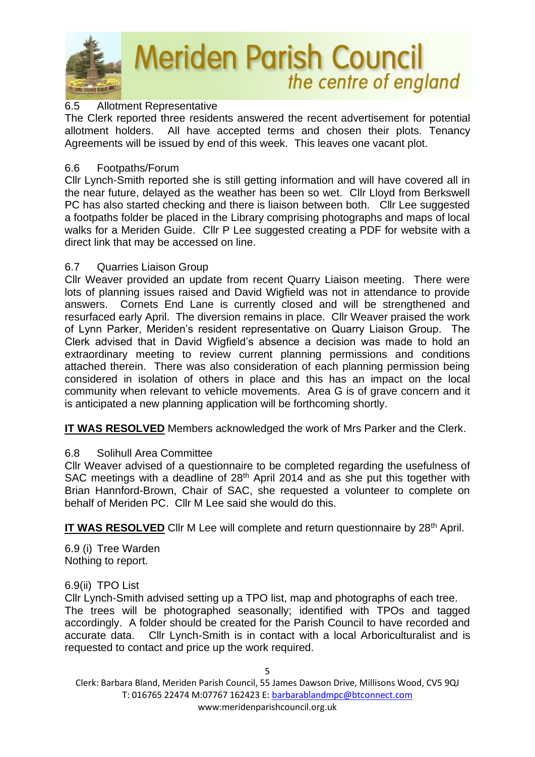

### 6.5 Allotment Representative

The Clerk reported three residents answered the recent advertisement for potential allotment holders. All have accepted terms and chosen their plots. Tenancy Agreements will be issued by end of this week. This leaves one vacant plot.

#### 6.6 Footpaths/Forum

Cllr Lynch-Smith reported she is still getting information and will have covered all in the near future, delayed as the weather has been so wet. Cllr Lloyd from Berkswell PC has also started checking and there is liaison between both. Cllr Lee suggested a footpaths folder be placed in the Library comprising photographs and maps of local walks for a Meriden Guide. Cllr P Lee suggested creating a PDF for website with a direct link that may be accessed on line.

### 6.7 Quarries Liaison Group

Cllr Weaver provided an update from recent Quarry Liaison meeting. There were lots of planning issues raised and David Wigfield was not in attendance to provide answers. Cornets End Lane is currently closed and will be strengthened and resurfaced early April. The diversion remains in place. Cllr Weaver praised the work of Lynn Parker, Meriden's resident representative on Quarry Liaison Group. The Clerk advised that in David Wigfield's absence a decision was made to hold an extraordinary meeting to review current planning permissions and conditions attached therein. There was also consideration of each planning permission being considered in isolation of others in place and this has an impact on the local community when relevant to vehicle movements. Area G is of grave concern and it is anticipated a new planning application will be forthcoming shortly.

**IT WAS RESOLVED** Members acknowledged the work of Mrs Parker and the Clerk.

## 6.8 Solihull Area Committee

Cllr Weaver advised of a questionnaire to be completed regarding the usefulness of SAC meetings with a deadline of 28<sup>th</sup> April 2014 and as she put this together with Brian Hannford-Brown, Chair of SAC, she requested a volunteer to complete on behalf of Meriden PC. Cllr M Lee said she would do this.

**IT WAS RESOLVED** Cllr M Lee will complete and return questionnaire by 28<sup>th</sup> April.

6.9 (i) Tree Warden Nothing to report.

#### 6.9(ii) TPO List

Cllr Lynch-Smith advised setting up a TPO list, map and photographs of each tree. The trees will be photographed seasonally; identified with TPOs and tagged accordingly. A folder should be created for the Parish Council to have recorded and accurate data. Cllr Lynch-Smith is in contact with a local Arboriculturalist and is requested to contact and price up the work required.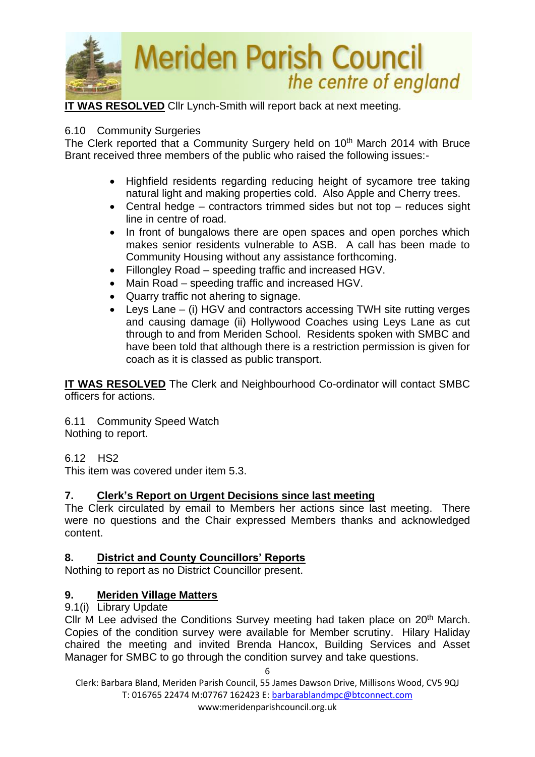

**IT WAS RESOLVED** Cllr Lynch-Smith will report back at next meeting.

### 6.10 Community Surgeries

The Clerk reported that a Community Surgery held on 10<sup>th</sup> March 2014 with Bruce Brant received three members of the public who raised the following issues:-

- Highfield residents regarding reducing height of sycamore tree taking natural light and making properties cold. Also Apple and Cherry trees.
- Central hedge contractors trimmed sides but not top reduces sight line in centre of road.
- In front of bungalows there are open spaces and open porches which makes senior residents vulnerable to ASB. A call has been made to Community Housing without any assistance forthcoming.
- Fillongley Road speeding traffic and increased HGV.
- Main Road speeding traffic and increased HGV.
- Quarry traffic not ahering to signage.
- Leys Lane (i) HGV and contractors accessing TWH site rutting verges and causing damage (ii) Hollywood Coaches using Leys Lane as cut through to and from Meriden School. Residents spoken with SMBC and have been told that although there is a restriction permission is given for coach as it is classed as public transport.

**IT WAS RESOLVED** The Clerk and Neighbourhood Co-ordinator will contact SMBC officers for actions.

6.11 Community Speed Watch Nothing to report.

6.12 HS2

This item was covered under item 5.3.

## **7. Clerk's Report on Urgent Decisions since last meeting**

The Clerk circulated by email to Members her actions since last meeting. There were no questions and the Chair expressed Members thanks and acknowledged content.

## **8. District and County Councillors' Reports**

Nothing to report as no District Councillor present.

## **9. Meriden Village Matters**

#### 9.1(i) Library Update

Cllr M Lee advised the Conditions Survey meeting had taken place on 20<sup>th</sup> March. Copies of the condition survey were available for Member scrutiny. Hilary Haliday chaired the meeting and invited Brenda Hancox, Building Services and Asset Manager for SMBC to go through the condition survey and take questions.

Clerk: Barbara Bland, Meriden Parish Council, 55 James Dawson Drive, Millisons Wood, CV5 9QJ T: 016765 22474 M:07767 162423 E[: barbarablandmpc@btconnect.com](mailto:barbarablandmpc@btconnect.com)

6

www:meridenparishcouncil.org.uk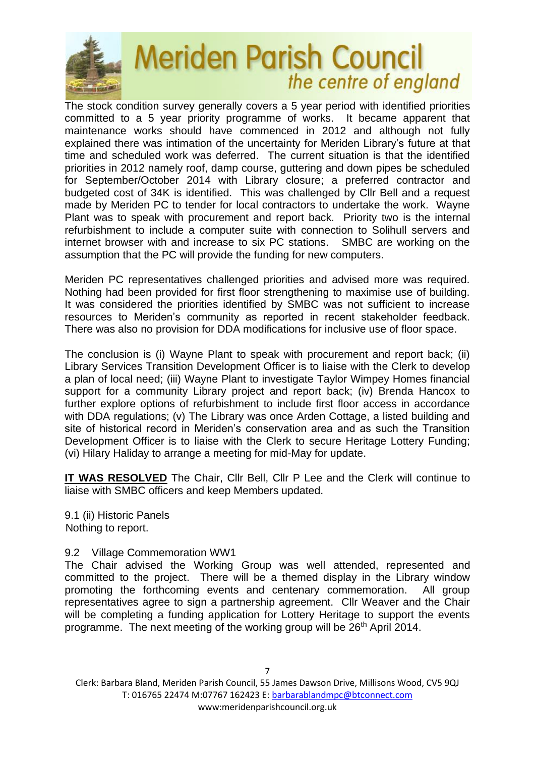

The stock condition survey generally covers a 5 year period with identified priorities committed to a 5 year priority programme of works. It became apparent that maintenance works should have commenced in 2012 and although not fully explained there was intimation of the uncertainty for Meriden Library's future at that time and scheduled work was deferred. The current situation is that the identified priorities in 2012 namely roof, damp course, guttering and down pipes be scheduled for September/October 2014 with Library closure; a preferred contractor and budgeted cost of 34K is identified. This was challenged by Cllr Bell and a request made by Meriden PC to tender for local contractors to undertake the work. Wayne Plant was to speak with procurement and report back. Priority two is the internal refurbishment to include a computer suite with connection to Solihull servers and internet browser with and increase to six PC stations. SMBC are working on the assumption that the PC will provide the funding for new computers.

Meriden PC representatives challenged priorities and advised more was required. Nothing had been provided for first floor strengthening to maximise use of building. It was considered the priorities identified by SMBC was not sufficient to increase resources to Meriden's community as reported in recent stakeholder feedback. There was also no provision for DDA modifications for inclusive use of floor space.

The conclusion is (i) Wayne Plant to speak with procurement and report back; (ii) Library Services Transition Development Officer is to liaise with the Clerk to develop a plan of local need; (iii) Wayne Plant to investigate Taylor Wimpey Homes financial support for a community Library project and report back; (iv) Brenda Hancox to further explore options of refurbishment to include first floor access in accordance with DDA regulations; (v) The Library was once Arden Cottage, a listed building and site of historical record in Meriden's conservation area and as such the Transition Development Officer is to liaise with the Clerk to secure Heritage Lottery Funding; (vi) Hilary Haliday to arrange a meeting for mid-May for update.

**IT WAS RESOLVED** The Chair, Cllr Bell, Cllr P Lee and the Clerk will continue to liaise with SMBC officers and keep Members updated.

9.1 (ii) Historic Panels Nothing to report.

#### 9.2 Village Commemoration WW1

The Chair advised the Working Group was well attended, represented and committed to the project. There will be a themed display in the Library window promoting the forthcoming events and centenary commemoration. All group representatives agree to sign a partnership agreement. Cllr Weaver and the Chair will be completing a funding application for Lottery Heritage to support the events programme. The next meeting of the working group will be 26<sup>th</sup> April 2014.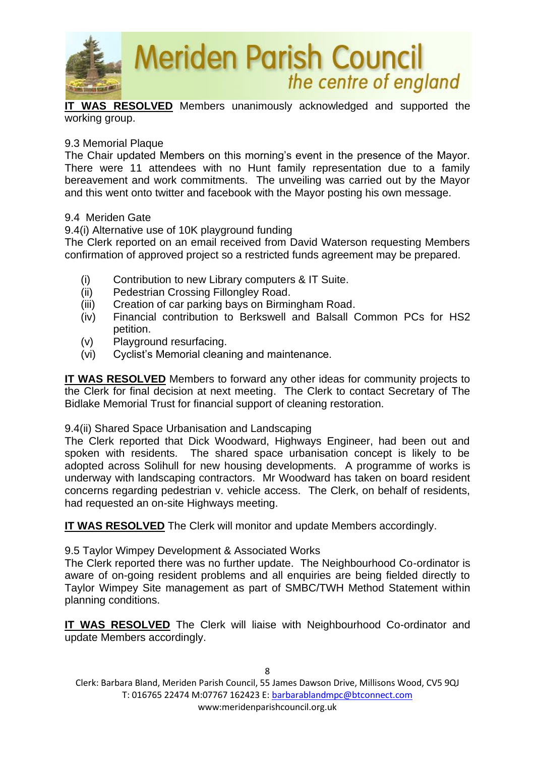

**IT WAS RESOLVED** Members unanimously acknowledged and supported the working group.

#### 9.3 Memorial Plaque

The Chair updated Members on this morning's event in the presence of the Mayor. There were 11 attendees with no Hunt family representation due to a family bereavement and work commitments. The unveiling was carried out by the Mayor and this went onto twitter and facebook with the Mayor posting his own message.

#### 9.4 Meriden Gate

9.4(i) Alternative use of 10K playground funding

The Clerk reported on an email received from David Waterson requesting Members confirmation of approved project so a restricted funds agreement may be prepared.

- (i) Contribution to new Library computers & IT Suite.
- (ii) Pedestrian Crossing Fillongley Road.
- (iii) Creation of car parking bays on Birmingham Road.
- (iv) Financial contribution to Berkswell and Balsall Common PCs for HS2 petition.
- (v) Playground resurfacing.
- (vi) Cyclist's Memorial cleaning and maintenance.

**IT WAS RESOLVED** Members to forward any other ideas for community projects to the Clerk for final decision at next meeting. The Clerk to contact Secretary of The Bidlake Memorial Trust for financial support of cleaning restoration.

#### 9.4(ii) Shared Space Urbanisation and Landscaping

The Clerk reported that Dick Woodward, Highways Engineer, had been out and spoken with residents. The shared space urbanisation concept is likely to be adopted across Solihull for new housing developments. A programme of works is underway with landscaping contractors. Mr Woodward has taken on board resident concerns regarding pedestrian v. vehicle access. The Clerk, on behalf of residents, had requested an on-site Highways meeting.

**IT WAS RESOLVED** The Clerk will monitor and update Members accordingly.

9.5 Taylor Wimpey Development & Associated Works

The Clerk reported there was no further update. The Neighbourhood Co-ordinator is aware of on-going resident problems and all enquiries are being fielded directly to Taylor Wimpey Site management as part of SMBC/TWH Method Statement within planning conditions.

**IT WAS RESOLVED** The Clerk will liaise with Neighbourhood Co-ordinator and update Members accordingly.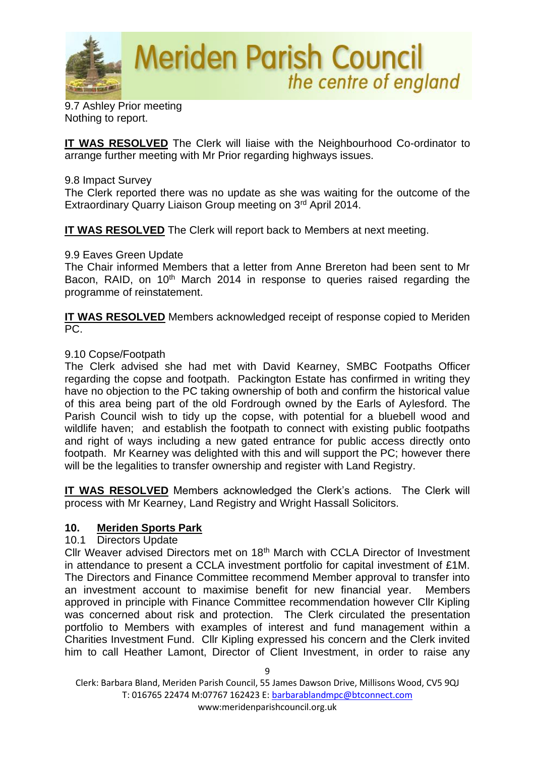

9.7 Ashley Prior meeting Nothing to report.

**IT WAS RESOLVED** The Clerk will liaise with the Neighbourhood Co-ordinator to arrange further meeting with Mr Prior regarding highways issues.

#### 9.8 Impact Survey

The Clerk reported there was no update as she was waiting for the outcome of the Extraordinary Quarry Liaison Group meeting on 3rd April 2014.

**IT WAS RESOLVED** The Clerk will report back to Members at next meeting.

#### 9.9 Eaves Green Update

The Chair informed Members that a letter from Anne Brereton had been sent to Mr Bacon, RAID, on 10<sup>th</sup> March 2014 in response to queries raised regarding the programme of reinstatement.

**IT WAS RESOLVED** Members acknowledged receipt of response copied to Meriden PC.

#### 9.10 Copse/Footpath

The Clerk advised she had met with David Kearney, SMBC Footpaths Officer regarding the copse and footpath. Packington Estate has confirmed in writing they have no objection to the PC taking ownership of both and confirm the historical value of this area being part of the old Fordrough owned by the Earls of Aylesford. The Parish Council wish to tidy up the copse, with potential for a bluebell wood and wildlife haven; and establish the footpath to connect with existing public footpaths and right of ways including a new gated entrance for public access directly onto footpath. Mr Kearney was delighted with this and will support the PC; however there will be the legalities to transfer ownership and register with Land Registry.

**IT WAS RESOLVED** Members acknowledged the Clerk's actions. The Clerk will process with Mr Kearney, Land Registry and Wright Hassall Solicitors.

#### **10. Meriden Sports Park**

#### 10.1 Directors Update

Cllr Weaver advised Directors met on 18th March with CCLA Director of Investment in attendance to present a CCLA investment portfolio for capital investment of £1M. The Directors and Finance Committee recommend Member approval to transfer into an investment account to maximise benefit for new financial year. Members approved in principle with Finance Committee recommendation however Cllr Kipling was concerned about risk and protection. The Clerk circulated the presentation portfolio to Members with examples of interest and fund management within a Charities Investment Fund. Cllr Kipling expressed his concern and the Clerk invited him to call Heather Lamont, Director of Client Investment, in order to raise any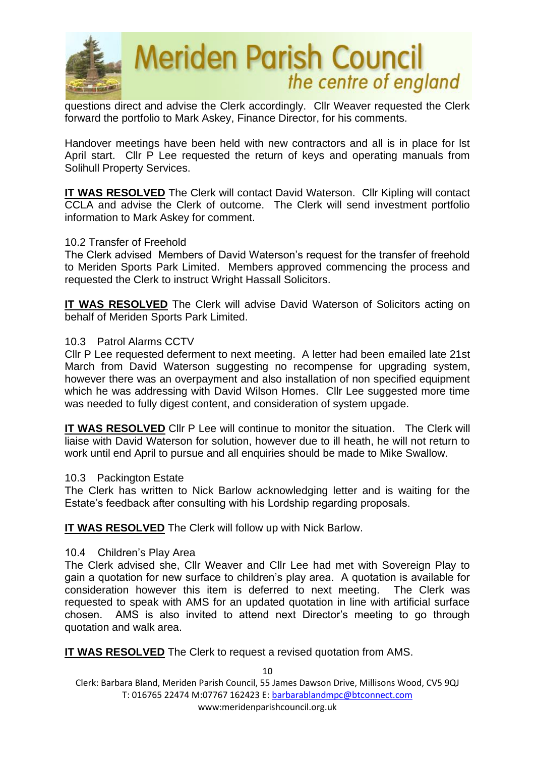

questions direct and advise the Clerk accordingly. Cllr Weaver requested the Clerk forward the portfolio to Mark Askey, Finance Director, for his comments.

Handover meetings have been held with new contractors and all is in place for lst April start. Cllr P Lee requested the return of keys and operating manuals from Solihull Property Services.

**IT WAS RESOLVED** The Clerk will contact David Waterson. Cllr Kipling will contact CCLA and advise the Clerk of outcome. The Clerk will send investment portfolio information to Mark Askey for comment.

#### 10.2 Transfer of Freehold

The Clerk advised Members of David Waterson's request for the transfer of freehold to Meriden Sports Park Limited. Members approved commencing the process and requested the Clerk to instruct Wright Hassall Solicitors.

**IT WAS RESOLVED** The Clerk will advise David Waterson of Solicitors acting on behalf of Meriden Sports Park Limited.

#### 10.3 Patrol Alarms CCTV

Cllr P Lee requested deferment to next meeting. A letter had been emailed late 21st March from David Waterson suggesting no recompense for upgrading system, however there was an overpayment and also installation of non specified equipment which he was addressing with David Wilson Homes. Cllr Lee suggested more time was needed to fully digest content, and consideration of system upgade.

**IT WAS RESOLVED** Cllr P Lee will continue to monitor the situation. The Clerk will liaise with David Waterson for solution, however due to ill heath, he will not return to work until end April to pursue and all enquiries should be made to Mike Swallow.

#### 10.3 Packington Estate

The Clerk has written to Nick Barlow acknowledging letter and is waiting for the Estate's feedback after consulting with his Lordship regarding proposals.

**IT WAS RESOLVED** The Clerk will follow up with Nick Barlow.

#### 10.4 Children's Play Area

The Clerk advised she, Cllr Weaver and Cllr Lee had met with Sovereign Play to gain a quotation for new surface to children's play area. A quotation is available for consideration however this item is deferred to next meeting. The Clerk was requested to speak with AMS for an updated quotation in line with artificial surface chosen. AMS is also invited to attend next Director's meeting to go through quotation and walk area.

**IT WAS RESOLVED** The Clerk to request a revised quotation from AMS.

Clerk: Barbara Bland, Meriden Parish Council, 55 James Dawson Drive, Millisons Wood, CV5 9QJ T: 016765 22474 M:07767 162423 E[: barbarablandmpc@btconnect.com](mailto:barbarablandmpc@btconnect.com) www:meridenparishcouncil.org.uk

10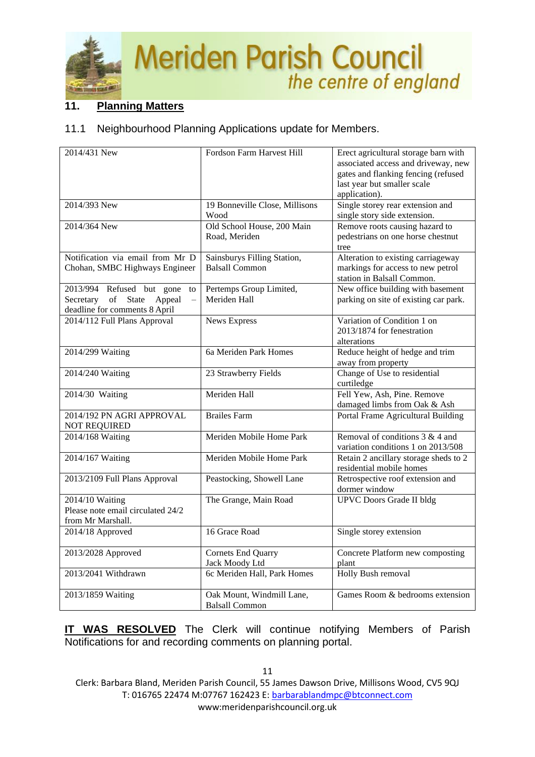

## **11. Planning Matters**

### 11.1 Neighbourhood Planning Applications update for Members.

| 2014/431 New                                                                                                    | Fordson Farm Harvest Hill                            | Erect agricultural storage barn with<br>associated access and driveway, new<br>gates and flanking fencing (refused<br>last year but smaller scale<br>application). |
|-----------------------------------------------------------------------------------------------------------------|------------------------------------------------------|--------------------------------------------------------------------------------------------------------------------------------------------------------------------|
| 2014/393 New                                                                                                    | 19 Bonneville Close, Millisons<br>Wood               | Single storey rear extension and<br>single story side extension.                                                                                                   |
| 2014/364 New                                                                                                    | Old School House, 200 Main<br>Road, Meriden          | Remove roots causing hazard to<br>pedestrians on one horse chestnut<br>tree                                                                                        |
| Notification via email from Mr D<br>Chohan, SMBC Highways Engineer                                              | Sainsburys Filling Station,<br><b>Balsall Common</b> | Alteration to existing carriageway<br>markings for access to new petrol<br>station in Balsall Common.                                                              |
| 2013/994 Refused but gone<br>to<br>of State<br>Secretary<br>Appeal<br>$\equiv$<br>deadline for comments 8 April | Pertemps Group Limited,<br>Meriden Hall              | New office building with basement<br>parking on site of existing car park.                                                                                         |
| 2014/112 Full Plans Approval                                                                                    | <b>News Express</b>                                  | Variation of Condition 1 on<br>2013/1874 for fenestration<br>alterations                                                                                           |
| 2014/299 Waiting                                                                                                | 6a Meriden Park Homes                                | Reduce height of hedge and trim<br>away from property                                                                                                              |
| 2014/240 Waiting                                                                                                | 23 Strawberry Fields                                 | Change of Use to residential<br>curtiledge                                                                                                                         |
| 2014/30 Waiting                                                                                                 | Meriden Hall                                         | Fell Yew, Ash, Pine. Remove<br>damaged limbs from Oak & Ash                                                                                                        |
| 2014/192 PN AGRI APPROVAL<br><b>NOT REQUIRED</b>                                                                | <b>Brailes Farm</b>                                  | Portal Frame Agricultural Building                                                                                                                                 |
| 2014/168 Waiting                                                                                                | Meriden Mobile Home Park                             | Removal of conditions $3 & 4$ and<br>variation conditions 1 on 2013/508                                                                                            |
| 2014/167 Waiting                                                                                                | Meriden Mobile Home Park                             | Retain 2 ancillary storage sheds to 2<br>residential mobile homes                                                                                                  |
| 2013/2109 Full Plans Approval                                                                                   | Peastocking, Showell Lane                            | Retrospective roof extension and<br>dormer window                                                                                                                  |
| 2014/10 Waiting<br>Please note email circulated 24/2<br>from Mr Marshall.                                       | The Grange, Main Road                                | <b>UPVC</b> Doors Grade II bldg                                                                                                                                    |
| 2014/18 Approved                                                                                                | 16 Grace Road                                        | Single storey extension                                                                                                                                            |
| 2013/2028 Approved                                                                                              | Cornets End Quarry<br>Jack Moody Ltd                 | Concrete Platform new composting<br>plant                                                                                                                          |
| 2013/2041 Withdrawn                                                                                             | 6c Meriden Hall, Park Homes                          | Holly Bush removal                                                                                                                                                 |
| 2013/1859 Waiting                                                                                               | Oak Mount, Windmill Lane,<br><b>Balsall Common</b>   | Games Room & bedrooms extension                                                                                                                                    |

**IT WAS RESOLVED** The Clerk will continue notifying Members of Parish Notifications for and recording comments on planning portal.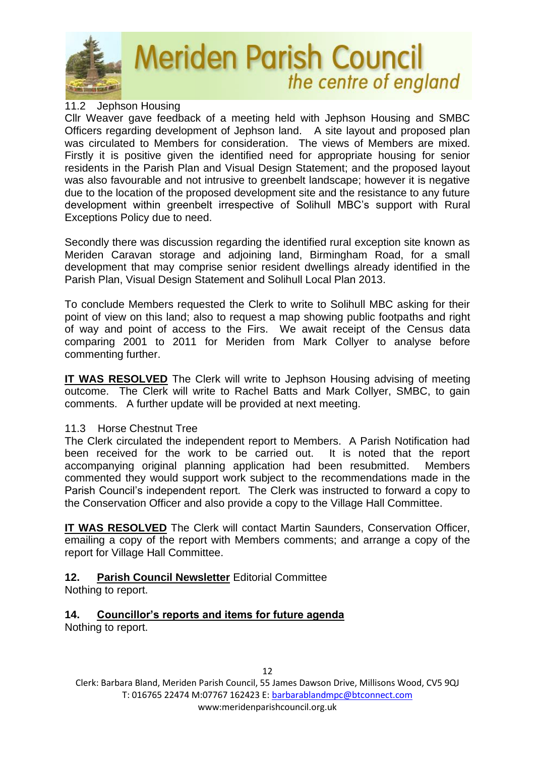

#### 11.2 Jephson Housing

Cllr Weaver gave feedback of a meeting held with Jephson Housing and SMBC Officers regarding development of Jephson land. A site layout and proposed plan was circulated to Members for consideration. The views of Members are mixed. Firstly it is positive given the identified need for appropriate housing for senior residents in the Parish Plan and Visual Design Statement; and the proposed layout was also favourable and not intrusive to greenbelt landscape; however it is negative due to the location of the proposed development site and the resistance to any future development within greenbelt irrespective of Solihull MBC's support with Rural Exceptions Policy due to need.

Secondly there was discussion regarding the identified rural exception site known as Meriden Caravan storage and adjoining land, Birmingham Road, for a small development that may comprise senior resident dwellings already identified in the Parish Plan, Visual Design Statement and Solihull Local Plan 2013.

To conclude Members requested the Clerk to write to Solihull MBC asking for their point of view on this land; also to request a map showing public footpaths and right of way and point of access to the Firs. We await receipt of the Census data comparing 2001 to 2011 for Meriden from Mark Collyer to analyse before commenting further.

**IT WAS RESOLVED** The Clerk will write to Jephson Housing advising of meeting outcome. The Clerk will write to Rachel Batts and Mark Collyer, SMBC, to gain comments. A further update will be provided at next meeting.

#### 11.3 Horse Chestnut Tree

The Clerk circulated the independent report to Members. A Parish Notification had been received for the work to be carried out. It is noted that the report accompanying original planning application had been resubmitted. Members commented they would support work subject to the recommendations made in the Parish Council's independent report. The Clerk was instructed to forward a copy to the Conservation Officer and also provide a copy to the Village Hall Committee.

**IT WAS RESOLVED** The Clerk will contact Martin Saunders, Conservation Officer, emailing a copy of the report with Members comments; and arrange a copy of the report for Village Hall Committee.

## **12. Parish Council Newsletter** Editorial Committee

Nothing to report.

## **14. Councillor's reports and items for future agenda**

Nothing to report.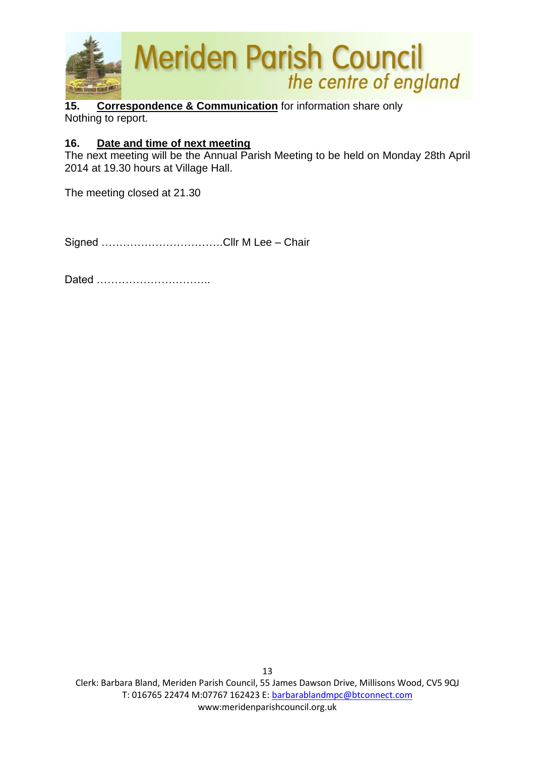

**15. Correspondence & Communication** for information share only Nothing to report.

### **16. Date and time of next meeting**

The next meeting will be the Annual Parish Meeting to be held on Monday 28th April 2014 at 19.30 hours at Village Hall.

The meeting closed at 21.30

Signed …………………………….Cllr M Lee – Chair

Dated …………………………..